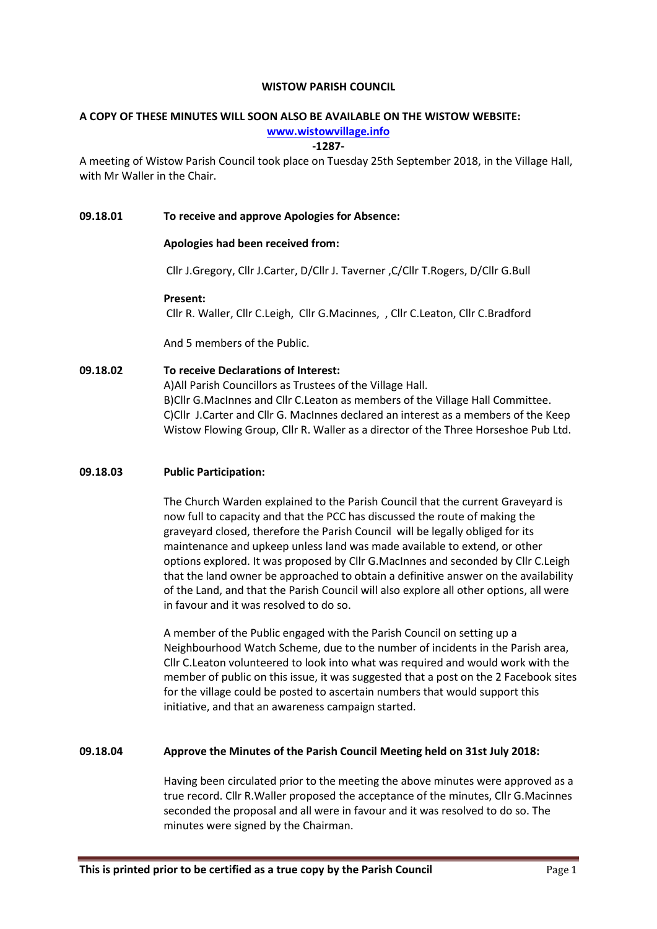#### WISTOW PARISH COUNCIL

# A COPY OF THESE MINUTES WILL SOON ALSO BE AVAILABLE ON THE WISTOW WEBSITE:

# www.wistowvillage.info

### -1287-

A meeting of Wistow Parish Council took place on Tuesday 25th September 2018, in the Village Hall, with Mr Waller in the Chair.

# 09.18.01 To receive and approve Apologies for Absence:

# Apologies had been received from:

Cllr J.Gregory, Cllr J.Carter, D/Cllr J. Taverner ,C/Cllr T.Rogers, D/Cllr G.Bull

# Present:

Cllr R. Waller, Cllr C.Leigh, Cllr G.Macinnes, , Cllr C.Leaton, Cllr C.Bradford

And 5 members of the Public.

# 09.18.02 To receive Declarations of Interest:

A)All Parish Councillors as Trustees of the Village Hall. B)Cllr G.MacInnes and Cllr C.Leaton as members of the Village Hall Committee. C)Cllr J.Carter and Cllr G. MacInnes declared an interest as a members of the Keep Wistow Flowing Group, Cllr R. Waller as a director of the Three Horseshoe Pub Ltd.

# 09.18.03 Public Participation:

The Church Warden explained to the Parish Council that the current Graveyard is now full to capacity and that the PCC has discussed the route of making the graveyard closed, therefore the Parish Council will be legally obliged for its maintenance and upkeep unless land was made available to extend, or other options explored. It was proposed by Cllr G.MacInnes and seconded by Cllr C.Leigh that the land owner be approached to obtain a definitive answer on the availability of the Land, and that the Parish Council will also explore all other options, all were in favour and it was resolved to do so.

A member of the Public engaged with the Parish Council on setting up a Neighbourhood Watch Scheme, due to the number of incidents in the Parish area, Cllr C.Leaton volunteered to look into what was required and would work with the member of public on this issue, it was suggested that a post on the 2 Facebook sites for the village could be posted to ascertain numbers that would support this initiative, and that an awareness campaign started.

# 09.18.04 Approve the Minutes of the Parish Council Meeting held on 31st July 2018:

Having been circulated prior to the meeting the above minutes were approved as a true record. Cllr R.Waller proposed the acceptance of the minutes, Cllr G.Macinnes seconded the proposal and all were in favour and it was resolved to do so. The minutes were signed by the Chairman.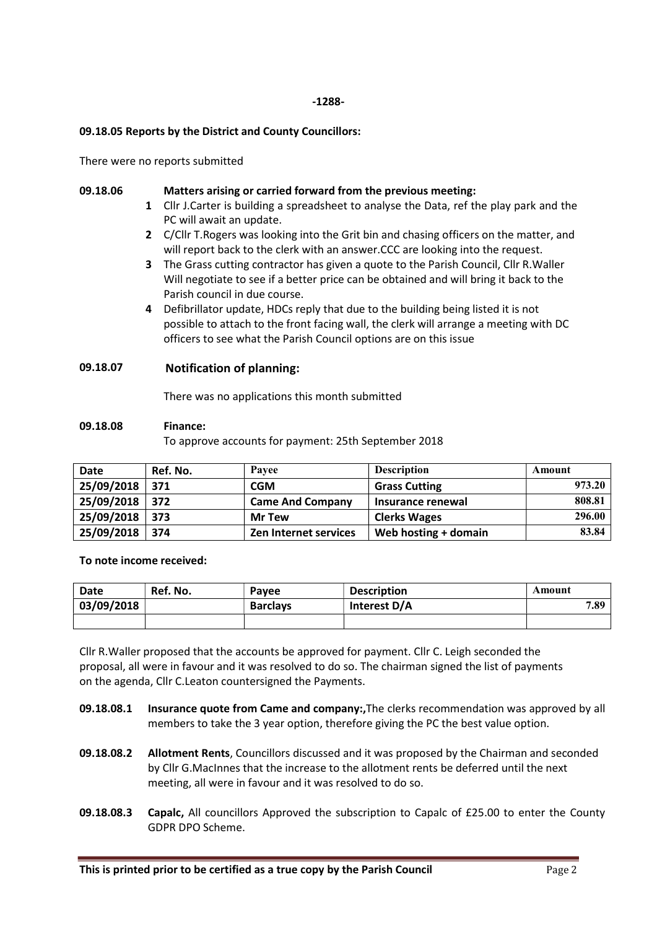### -1288-

# 09.18.05 Reports by the District and County Councillors:

There were no reports submitted

#### 09.18.06

# Matters arising or carried forward from the previous meeting:

- 1 Cllr J.Carter is building a spreadsheet to analyse the Data, ref the play park and the PC will await an update.
- 2 C/Cllr T. Rogers was looking into the Grit bin and chasing officers on the matter, and will report back to the clerk with an answer.CCC are looking into the request.
- 3 The Grass cutting contractor has given a quote to the Parish Council, Cllr R. Waller Will negotiate to see if a better price can be obtained and will bring it back to the Parish council in due course.
- 4 Defibrillator update, HDCs reply that due to the building being listed it is not possible to attach to the front facing wall, the clerk will arrange a meeting with DC officers to see what the Parish Council options are on this issue

# 09.18.07 Notification of planning:

There was no applications this month submitted

### 09.18.08 Finance:

To approve accounts for payment: 25th September 2018

| <b>Date</b> | Ref. No. | Pavee                        | <b>Description</b>   | Amount |
|-------------|----------|------------------------------|----------------------|--------|
| 25/09/2018  | 371      | <b>CGM</b>                   | <b>Grass Cutting</b> | 973.20 |
| 25/09/2018  | 372      | <b>Came And Company</b>      | Insurance renewal    | 808.81 |
| 25/09/2018  | 373      | <b>Mr Tew</b>                | <b>Clerks Wages</b>  | 296.00 |
| 25/09/2018  | 374      | <b>Zen Internet services</b> | Web hosting + domain | 83.84  |

# To note income received:

| Date       | Ref. No. | Payee           | <b>Description</b> | Amount |
|------------|----------|-----------------|--------------------|--------|
| 03/09/2018 |          | <b>Barclays</b> | Interest D/A       | 7.89   |
|            |          |                 |                    |        |

Cllr R.Waller proposed that the accounts be approved for payment. Cllr C. Leigh seconded the proposal, all were in favour and it was resolved to do so. The chairman signed the list of payments on the agenda, Cllr C.Leaton countersigned the Payments.

- 09.18.08.1 Insurance quote from Came and company:,The clerks recommendation was approved by all members to take the 3 year option, therefore giving the PC the best value option.
- 09.18.08.2 Allotment Rents, Councillors discussed and it was proposed by the Chairman and seconded by Cllr G.MacInnes that the increase to the allotment rents be deferred until the next meeting, all were in favour and it was resolved to do so.
- 09.18.08.3 Capalc, All councillors Approved the subscription to Capalc of £25.00 to enter the County GDPR DPO Scheme.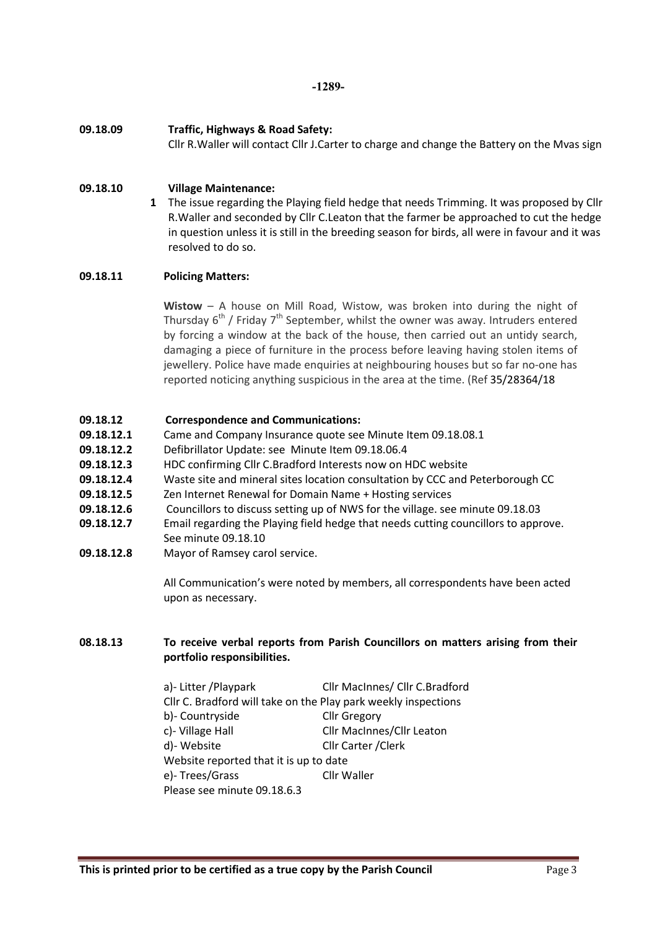-1289-

09.18.09 Traffic, Highways & Road Safety:

Cllr R.Waller will contact Cllr J.Carter to charge and change the Battery on the Mvas sign

#### 09.18.10 Village Maintenance:

1 The issue regarding the Playing field hedge that needs Trimming. It was proposed by Cllr R.Waller and seconded by Cllr C.Leaton that the farmer be approached to cut the hedge in question unless it is still in the breeding season for birds, all were in favour and it was resolved to do so.

# 09.18.11 Policing Matters:

Wistow – A house on Mill Road, Wistow, was broken into during the night of Thursday  $6<sup>th</sup>$  / Friday 7<sup>th</sup> September, whilst the owner was away. Intruders entered by forcing a window at the back of the house, then carried out an untidy search, damaging a piece of furniture in the process before leaving having stolen items of jewellery. Police have made enquiries at neighbouring houses but so far no-one has reported noticing anything suspicious in the area at the time. (Ref 35/28364/18

# 09.18.12 Correspondence and Communications:

- 09.18.12.1 Came and Company Insurance quote see Minute Item 09.18.08.1
- 09.18.12.2 Defibrillator Update: see Minute Item 09.18.06.4
- 09.18.12.3 HDC confirming Cllr C.Bradford Interests now on HDC website
- 09.18.12.4 Waste site and mineral sites location consultation by CCC and Peterborough CC
- 09.18.12.5 Zen Internet Renewal for Domain Name + Hosting services
- 09.18.12.6 Councillors to discuss setting up of NWS for the village. see minute 09.18.03
- 09.18.12.7 Email regarding the Playing field hedge that needs cutting councillors to approve. See minute 09.18.10
- 09.18.12.8 Mayor of Ramsey carol service.

All Communication's were noted by members, all correspondents have been acted upon as necessary.

# 08.18.13 To receive verbal reports from Parish Councillors on matters arising from their portfolio responsibilities.

a)- Litter /Playpark Cllr MacInnes/ Cllr C.Bradford Cllr C. Bradford will take on the Play park weekly inspections b)- Countryside Cllr Gregory c)- Village Hall Cllr MacInnes/Cllr Leaton d)- Website Cllr Carter /Clerk Website reported that it is up to date e)- Trees/Grass Cllr Waller Please see minute 09.18.6.3